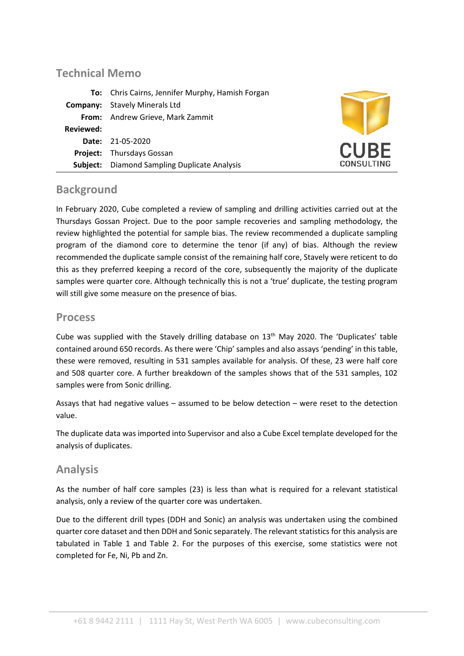## **Technical Memo**

|           | To: Chris Cairns, Jennifer Murphy, Hamish Forgan |                   |
|-----------|--------------------------------------------------|-------------------|
|           | <b>Company:</b> Stavely Minerals Ltd             |                   |
|           | From: Andrew Grieve, Mark Zammit                 |                   |
| Reviewed: |                                                  |                   |
|           | <b>Date: 21-05-2020</b>                          |                   |
|           | <b>Project:</b> Thursdays Gossan                 | <b>CURE</b>       |
| Subject:  | <b>Diamond Sampling Duplicate Analysis</b>       | <b>CONSULTING</b> |

### **Background**

In February 2020, Cube completed a review of sampling and drilling activities carried out at the Thursdays Gossan Project. Due to the poor sample recoveries and sampling methodology, the review highlighted the potential for sample bias. The review recommended a duplicate sampling program of the diamond core to determine the tenor (if any) of bias. Although the review recommended the duplicate sample consist of the remaining half core, Stavely were reticent to do this as they preferred keeping a record of the core, subsequently the majority of the duplicate samples were quarter core. Although technically this is not a 'true' duplicate, the testing program will still give some measure on the presence of bias.

### **Process**

Cube was supplied with the Stavely drilling database on 13<sup>th</sup> May 2020. The 'Duplicates' table contained around 650 records. As there were 'Chip' samples and also assays 'pending' in this table, these were removed, resulting in 531 samples available for analysis. Of these, 23 were half core and 508 quarter core. A further breakdown of the samples shows that of the 531 samples, 102 samples were from Sonic drilling.

Assays that had negative values – assumed to be below detection – were reset to the detection value.

The duplicate data was imported into Supervisor and also a Cube Excel template developed for the analysis of duplicates.

### **Analysis**

As the number of half core samples (23) is less than what is required for a relevant statistical analysis, only a review of the quarter core was undertaken.

Due to the different drill types (DDH and Sonic) an analysis was undertaken using the combined quarter core dataset and then DDH and Sonic separately. The relevant statistics for this analysis are tabulated in [Table 1](#page-1-0) and [Table 2.](#page-1-1) For the purposes of this exercise, some statistics were not completed for Fe, Ni, Pb and Zn.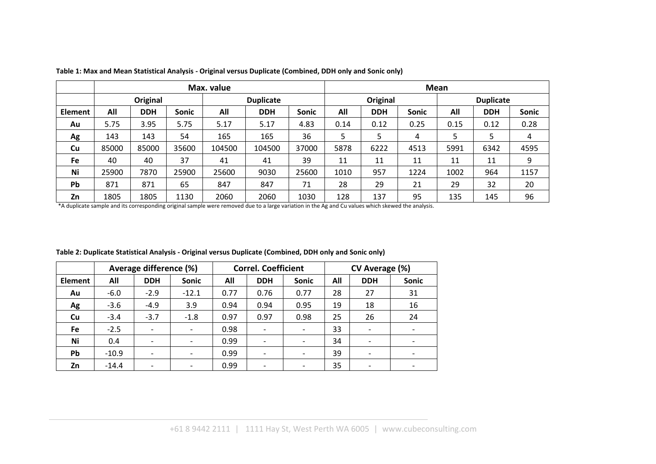|         | Max. value |            |       |                  |            |              | Mean     |            |              |                  |            |       |
|---------|------------|------------|-------|------------------|------------|--------------|----------|------------|--------------|------------------|------------|-------|
|         | Original   |            |       | <b>Duplicate</b> |            |              | Original |            |              | <b>Duplicate</b> |            |       |
| Element | All        | <b>DDH</b> | Sonic | All              | <b>DDH</b> | <b>Sonic</b> | All      | <b>DDH</b> | <b>Sonic</b> | All              | <b>DDH</b> | Sonic |
| Au      | 5.75       | 3.95       | 5.75  | 5.17             | 5.17       | 4.83         | 0.14     | 0.12       | 0.25         | 0.15             | 0.12       | 0.28  |
| Ag      | 143        | 143        | 54    | 165              | 165        | 36           | 5        |            | 4            | 5                | 5          | 4     |
| Cu      | 85000      | 85000      | 35600 | 104500           | 104500     | 37000        | 5878     | 6222       | 4513         | 5991             | 6342       | 4595  |
| Fe      | 40         | 40         | 37    | 41               | 41         | 39           | 11       | 11         | 11           | 11               | 11         | 9     |
| Ni      | 25900      | 7870       | 25900 | 25600            | 9030       | 25600        | 1010     | 957        | 1224         | 1002             | 964        | 1157  |
| Pb      | 871        | 871        | 65    | 847              | 847        | 71           | 28       | 29         | 21           | 29               | 32         | 20    |
| Zn      | 1805       | 1805       | 1130  | 2060             | 2060       | 1030         | 128      | 137        | 95           | 135              | 145        | 96    |

**Table 1: Max and Mean Statistical Analysis - Original versus Duplicate (Combined, DDH only and Sonic only)**

\*A duplicate sample and its corresponding original sample were removed due to a large variation in the Ag and Cu values which skewed the analysis.

<span id="page-1-1"></span><span id="page-1-0"></span>

|                |         | Average difference (%)   |                          |      | <b>Correl. Coefficient</b> |              | CV Average (%) |            |                          |  |
|----------------|---------|--------------------------|--------------------------|------|----------------------------|--------------|----------------|------------|--------------------------|--|
| <b>Element</b> | All     | <b>DDH</b>               | Sonic                    | All  | <b>DDH</b>                 | <b>Sonic</b> | All            | <b>DDH</b> | <b>Sonic</b>             |  |
| Au             | $-6.0$  | $-2.9$                   | $-12.1$                  | 0.77 | 0.76                       | 0.77         | 28             | 27         | 31                       |  |
| Ag             | $-3.6$  | $-4.9$                   | 3.9                      | 0.94 | 0.94                       | 0.95         | 19             | 18         | 16                       |  |
| Cu             | $-3.4$  | $-3.7$                   | $-1.8$                   | 0.97 | 0.97                       | 0.98         | 25             | 26         | 24                       |  |
| <b>Fe</b>      | $-2.5$  | $\overline{\phantom{a}}$ | $\overline{\phantom{a}}$ | 0.98 | $\overline{\phantom{a}}$   |              | 33             |            | $\overline{\phantom{a}}$ |  |
| Ni             | 0.4     | $\overline{\phantom{0}}$ |                          | 0.99 | $\overline{\phantom{0}}$   |              | 34             |            | $\overline{\phantom{a}}$ |  |
| <b>Pb</b>      | $-10.9$ | $\overline{\phantom{a}}$ |                          | 0.99 | $\overline{\phantom{a}}$   |              | 39             |            | $\overline{\phantom{a}}$ |  |
| Zn             | $-14.4$ | $\overline{\phantom{0}}$ |                          | 0.99 | $\overline{\phantom{0}}$   |              | 35             |            |                          |  |

**Table 2: Duplicate Statistical Analysis - Original versus Duplicate (Combined, DDH only and Sonic only)**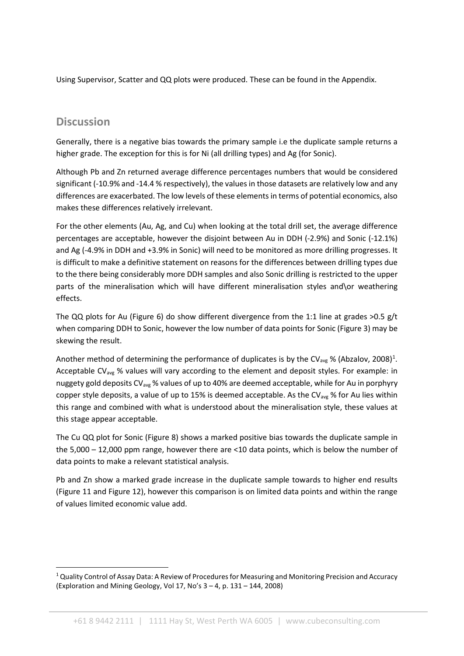Using Supervisor, Scatter and QQ plots were produced. These can be found in the Appendix.

## **Discussion**

Generally, there is a negative bias towards the primary sample i.e the duplicate sample returns a higher grade. The exception for this is for Ni (all drilling types) and Ag (for Sonic).

Although Pb and Zn returned average difference percentages numbers that would be considered significant (-10.9% and -14.4 % respectively), the values in those datasets are relatively low and any differences are exacerbated. The low levels of these elements in terms of potential economics, also makes these differences relatively irrelevant.

For the other elements (Au, Ag, and Cu) when looking at the total drill set, the average difference percentages are acceptable, however the disjoint between Au in DDH (-2.9%) and Sonic (-12.1%) and Ag (-4.9% in DDH and +3.9% in Sonic) will need to be monitored as more drilling progresses. It is difficult to make a definitive statement on reasons for the differences between drilling types due to the there being considerably more DDH samples and also Sonic drilling is restricted to the upper parts of the mineralisation which will have different mineralisation styles and\or weathering effects.

The QQ plots for Au [\(Figure 6\)](#page-8-0) do show different divergence from the 1:1 line at grades >0.5 g/t when comparing DDH to Sonic, however the low number of data points for Sonic [\(Figure 3\)](#page-5-0) may be skewing the result.

Another method of determining the performance of duplicates is by the CV<sub>avg</sub> % (Abzalov, 2008)<sup>[1](#page-2-0)</sup>. Acceptable CV<sub>avg</sub> % values will vary according to the element and deposit styles. For example: in nuggety gold deposits CV<sub>avg</sub> % values of up to 40% are deemed acceptable, while for Au in porphyry copper style deposits, a value of up to 15% is deemed acceptable. As the CV<sub>avg</sub> % for Au lies within this range and combined with what is understood about the mineralisation style, these values at this stage appear acceptable.

The Cu QQ plot for Sonic [\(Figure 8\)](#page-10-0) shows a marked positive bias towards the duplicate sample in the 5,000 – 12,000 ppm range, however there are <10 data points, which is below the number of data points to make a relevant statistical analysis.

Pb and Zn show a marked grade increase in the duplicate sample towards to higher end results [\(Figure 11](#page-13-0) and [Figure 12\)](#page-14-0), however this comparison is on limited data points and within the range of values limited economic value add.

<span id="page-2-0"></span> $1$  Quality Control of Assay Data: A Review of Procedures for Measuring and Monitoring Precision and Accuracy (Exploration and Mining Geology, Vol 17, No's 3 – 4, p. 131 – 144, 2008)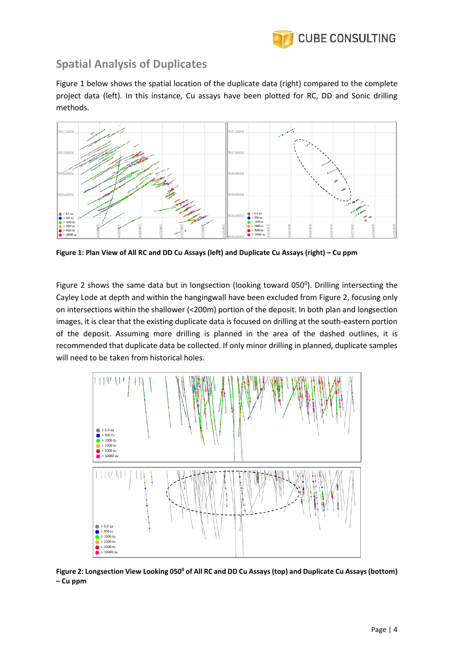

# **Spatial Analysis of Duplicates**

[Figure 1](#page-3-0) below shows the spatial location of the duplicate data (right) compared to the complete project data (left). In this instance, Cu assays have been plotted for RC, DD and Sonic drilling methods.



<span id="page-3-0"></span>**Figure 1: Plan View of All RC and DD Cu Assays (left) and Duplicate Cu Assays (right) – Cu ppm**

[Figure 2](#page-3-1) shows the same data but in longsection (looking toward  $050^{\circ}$ ). Drilling intersecting the Cayley Lode at depth and within the hangingwall have been excluded from [Figure 2,](#page-3-1) focusing only on intersections within the shallower (<200m) portion of the deposit. In both plan and longsection images, it is clear that the existing duplicate data is focused on drilling at the south-eastern portion of the deposit. Assuming more drilling is planned in the area of the dashed outlines, it is recommended that duplicate data be collected. If only minor drilling in planned, duplicate samples will need to be taken from historical holes.



<span id="page-3-1"></span>Figure 2: Longsection View Looking 050<sup>0</sup> of All RC and DD Cu Assays (top) and Duplicate Cu Assays (bottom) **– Cu ppm**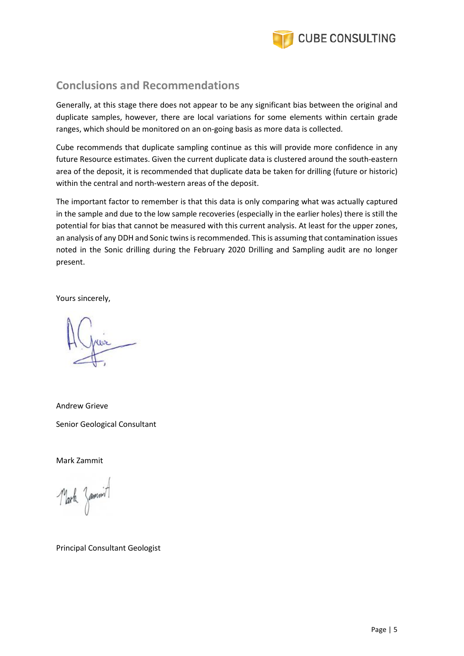

## **Conclusions and Recommendations**

Generally, at this stage there does not appear to be any significant bias between the original and duplicate samples, however, there are local variations for some elements within certain grade ranges, which should be monitored on an on-going basis as more data is collected.

Cube recommends that duplicate sampling continue as this will provide more confidence in any future Resource estimates. Given the current duplicate data is clustered around the south-eastern area of the deposit, it is recommended that duplicate data be taken for drilling (future or historic) within the central and north-western areas of the deposit.

The important factor to remember is that this data is only comparing what was actually captured in the sample and due to the low sample recoveries (especially in the earlier holes) there is still the potential for bias that cannot be measured with this current analysis. At least for the upper zones, an analysis of any DDH and Sonic twins is recommended. This is assuming that contamination issues noted in the Sonic drilling during the February 2020 Drilling and Sampling audit are no longer present.

Yours sincerely,

Andrew Grieve Senior Geological Consultant

Mark Zammit

Mark Jammit

Principal Consultant Geologist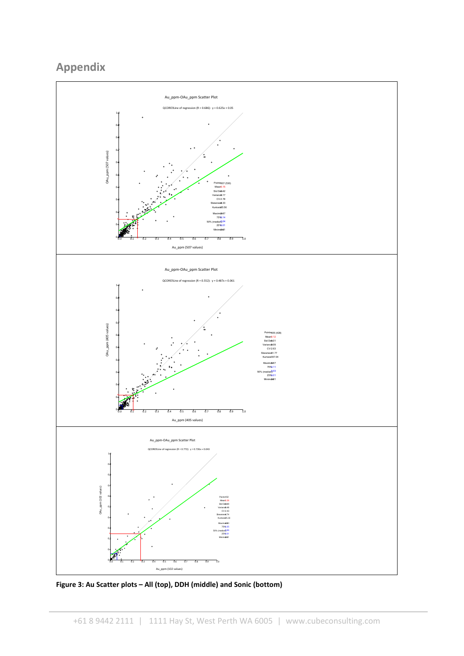# **Appendix**



<span id="page-5-0"></span>**Figure 3: Au Scatter plots – All (top), DDH (middle) and Sonic (bottom)**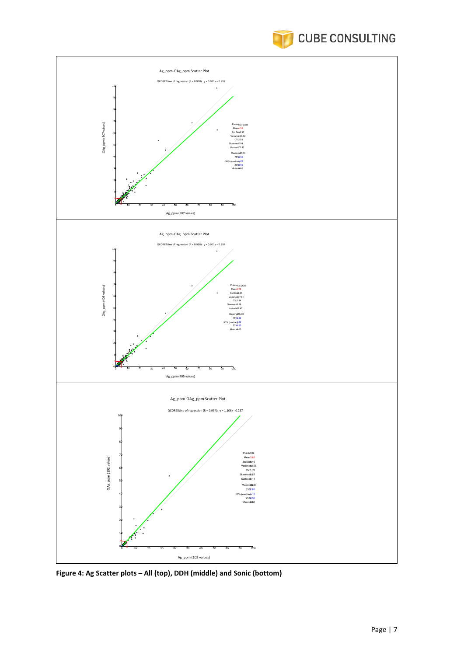



**Figure 4: Ag Scatter plots – All (top), DDH (middle) and Sonic (bottom)**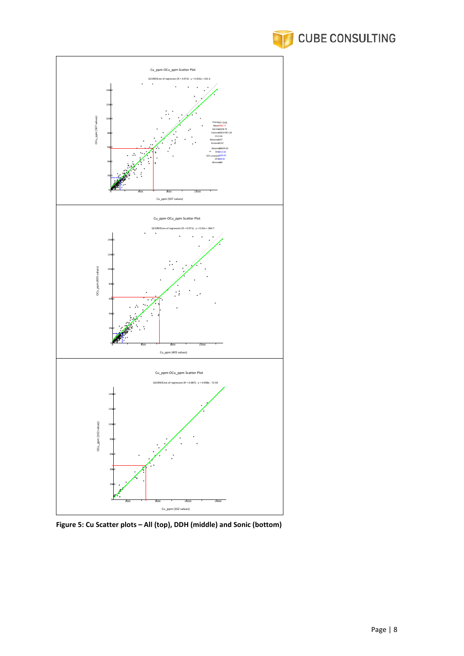



**Figure 5: Cu Scatter plots – All (top), DDH (middle) and Sonic (bottom)**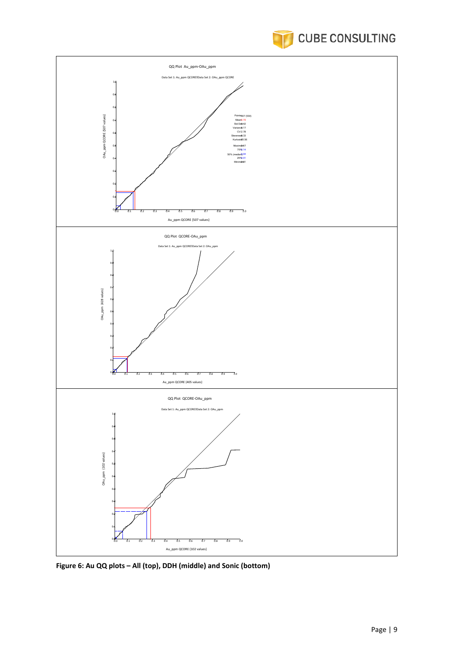



<span id="page-8-0"></span>**Figure 6: Au QQ plots – All (top), DDH (middle) and Sonic (bottom)**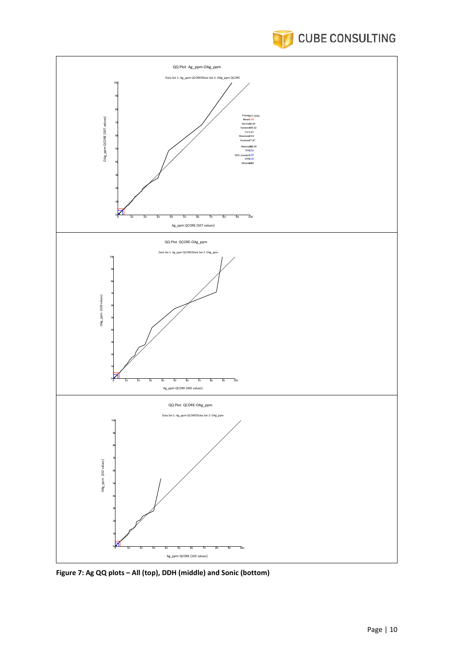



**Figure 7: Ag QQ plots – All (top), DDH (middle) and Sonic (bottom)**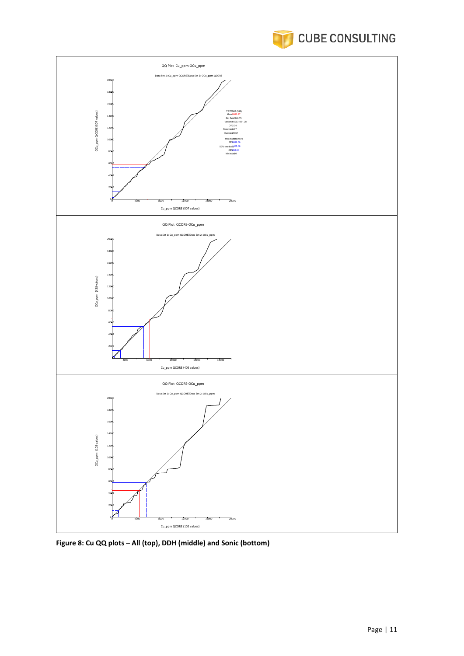



<span id="page-10-0"></span>**Figure 8: Cu QQ plots – All (top), DDH (middle) and Sonic (bottom)**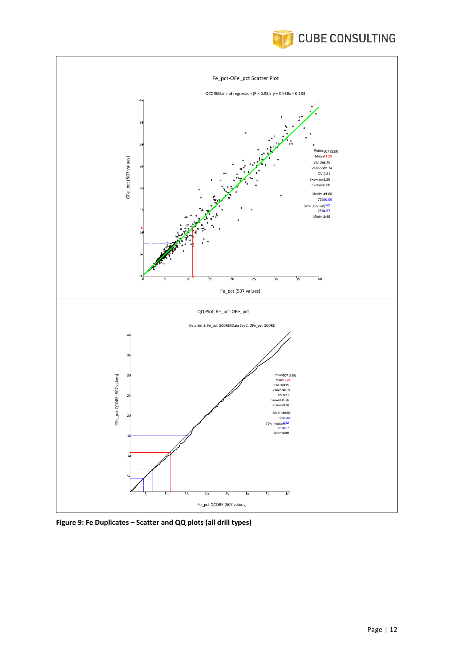



**Figure 9: Fe Duplicates – Scatter and QQ plots (all drill types)**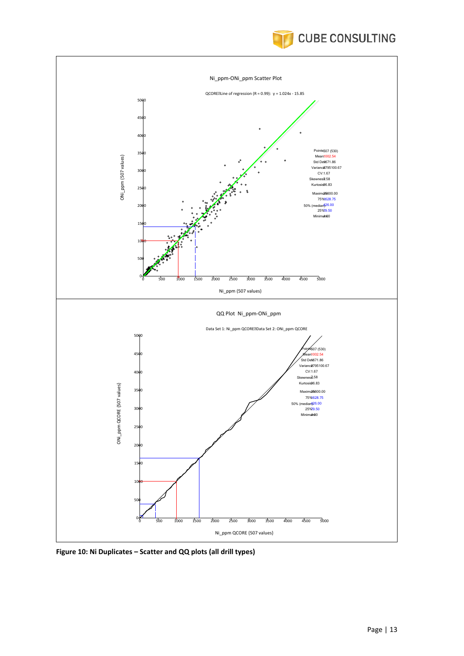



**Figure 10: Ni Duplicates – Scatter and QQ plots (all drill types)**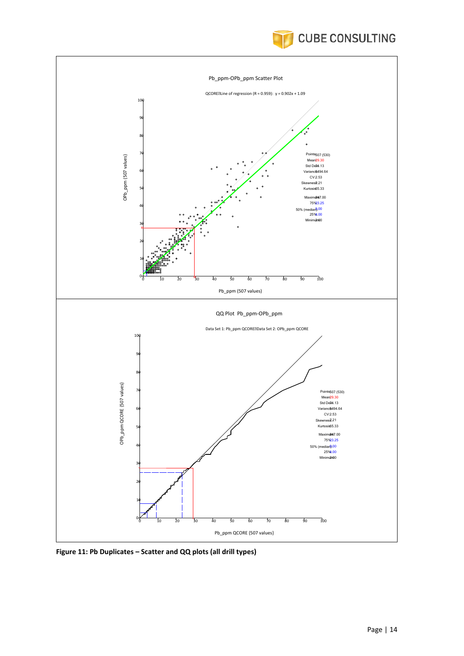



<span id="page-13-0"></span>**Figure 11: Pb Duplicates – Scatter and QQ plots (all drill types)**